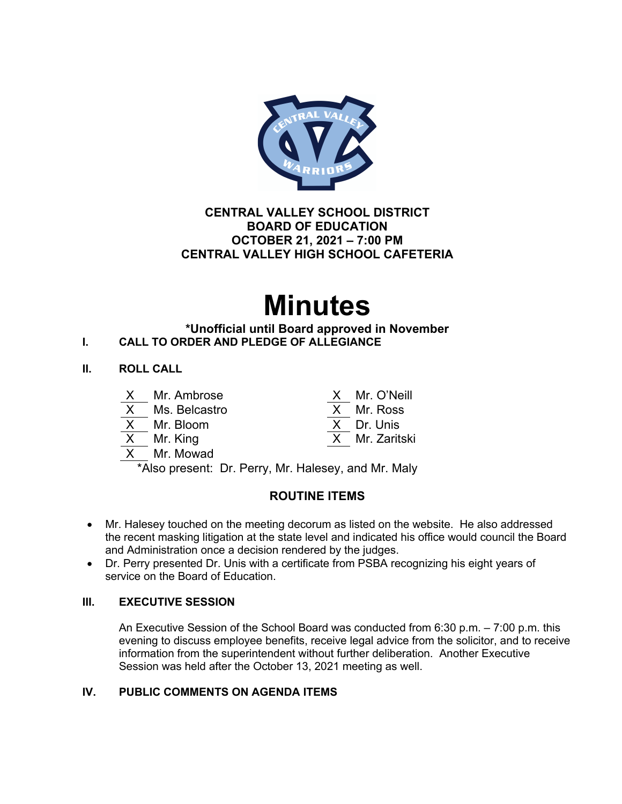

# **CENTRAL VALLEY SCHOOL DISTRICT BOARD OF EDUCATION OCTOBER 21, 2021 – 7:00 PM CENTRAL VALLEY HIGH SCHOOL CAFETERIA**

# **Minutes**

# **\*Unofficial until Board approved in November I. CALL TO ORDER AND PLEDGE OF ALLEGIANCE**

# **II. ROLL CALL**

| X.                                                         | Mr. Ambrose   |  | X Mr. O'Neill  |
|------------------------------------------------------------|---------------|--|----------------|
| X                                                          | Ms. Belcastro |  | X Mr. Ross     |
|                                                            | X Mr. Bloom   |  | X Dr. Unis     |
|                                                            | X Mr. King    |  | X Mr. Zaritski |
|                                                            | X Mr. Mowad   |  |                |
| $*$ Alexander of the Dennis Multiplex of the Multiplex $*$ |               |  |                |

Also present: Dr. Perry, Mr. Halesey, and Mr. Maly

# **ROUTINE ITEMS**

- Mr. Halesey touched on the meeting decorum as listed on the website. He also addressed the recent masking litigation at the state level and indicated his office would council the Board and Administration once a decision rendered by the judges.
- Dr. Perry presented Dr. Unis with a certificate from PSBA recognizing his eight years of service on the Board of Education.

# **III. EXECUTIVE SESSION**

An Executive Session of the School Board was conducted from 6:30 p.m. – 7:00 p.m. this evening to discuss employee benefits, receive legal advice from the solicitor, and to receive information from the superintendent without further deliberation. Another Executive Session was held after the October 13, 2021 meeting as well.

# **IV. PUBLIC COMMENTS ON AGENDA ITEMS**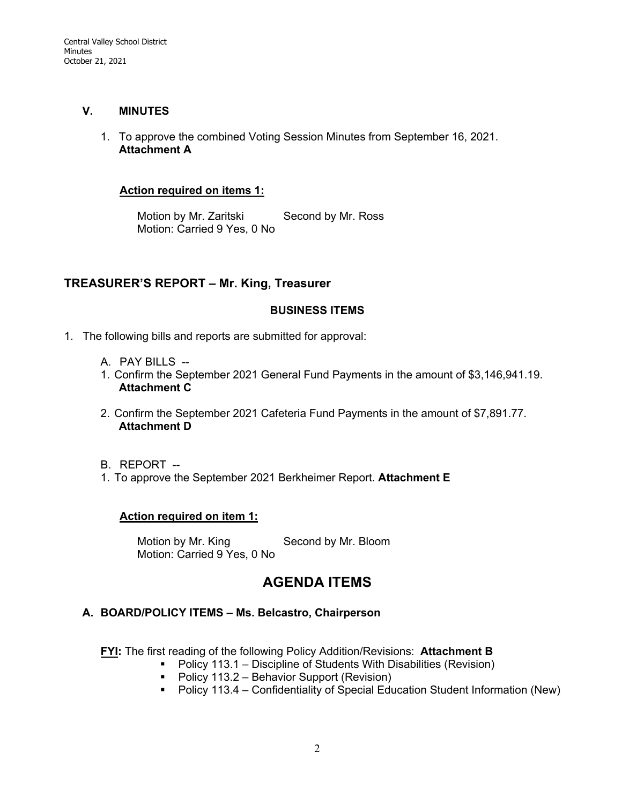#### **V. MINUTES**

1. To approve the combined Voting Session Minutes from September 16, 2021. **Attachment A**

#### **Action required on items 1:**

Motion by Mr. Zaritski Second by Mr. Ross Motion: Carried 9 Yes, 0 No

# **TREASURER'S REPORT – Mr. King, Treasurer**

#### **BUSINESS ITEMS**

- 1. The following bills and reports are submitted for approval:
	- A. PAY BILLS --
	- 1. Confirm the September 2021 General Fund Payments in the amount of \$3,146,941.19. **Attachment C**
	- 2. Confirm the September 2021 Cafeteria Fund Payments in the amount of \$7,891.77. **Attachment D**
	- B. REPORT --
	- 1. To approve the September 2021 Berkheimer Report. **Attachment E**

## **Action required on item 1:**

Motion by Mr. King Second by Mr. Bloom Motion: Carried 9 Yes, 0 No

# **AGENDA ITEMS**

## **A. BOARD/POLICY ITEMS – Ms. Belcastro, Chairperson**

**FYI:** The first reading of the following Policy Addition/Revisions: **Attachment B**

- Policy 113.1 Discipline of Students With Disabilities (Revision)
	- Policy 113.2 Behavior Support (Revision)
	- Policy 113.4 Confidentiality of Special Education Student Information (New)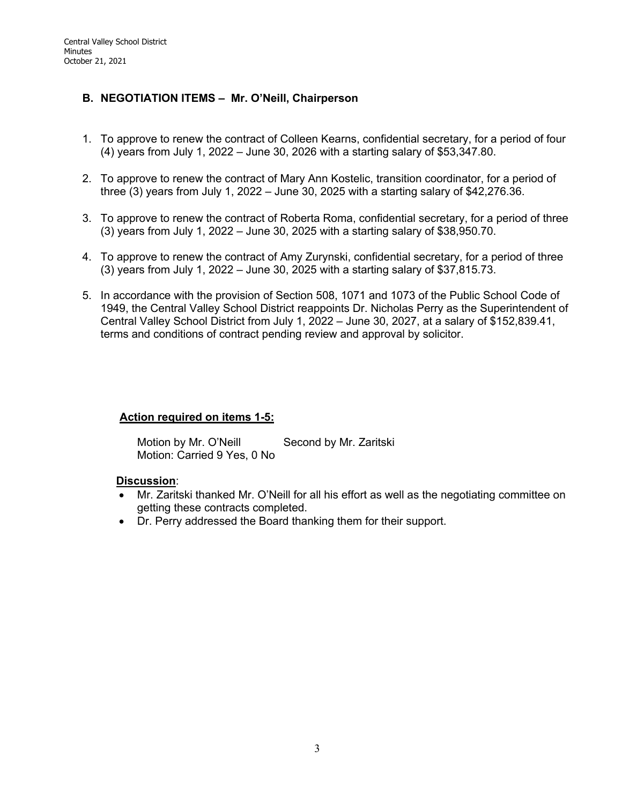# **B. NEGOTIATION ITEMS – Mr. O'Neill, Chairperson**

- 1. To approve to renew the contract of Colleen Kearns, confidential secretary, for a period of four (4) years from July 1, 2022 – June 30, 2026 with a starting salary of \$53,347.80.
- 2. To approve to renew the contract of Mary Ann Kostelic, transition coordinator, for a period of three (3) years from July 1, 2022 – June 30, 2025 with a starting salary of \$42,276.36.
- 3. To approve to renew the contract of Roberta Roma, confidential secretary, for a period of three (3) years from July 1, 2022 – June 30, 2025 with a starting salary of \$38,950.70.
- 4. To approve to renew the contract of Amy Zurynski, confidential secretary, for a period of three (3) years from July 1, 2022 – June 30, 2025 with a starting salary of \$37,815.73.
- 5. In accordance with the provision of Section 508, 1071 and 1073 of the Public School Code of 1949, the Central Valley School District reappoints Dr. Nicholas Perry as the Superintendent of Central Valley School District from July 1, 2022 – June 30, 2027, at a salary of \$152,839.41, terms and conditions of contract pending review and approval by solicitor.

## **Action required on items 1-5:**

Motion by Mr. O'Neill Second by Mr. Zaritski Motion: Carried 9 Yes, 0 No

## **Discussion**:

- Mr. Zaritski thanked Mr. O'Neill for all his effort as well as the negotiating committee on getting these contracts completed.
- Dr. Perry addressed the Board thanking them for their support.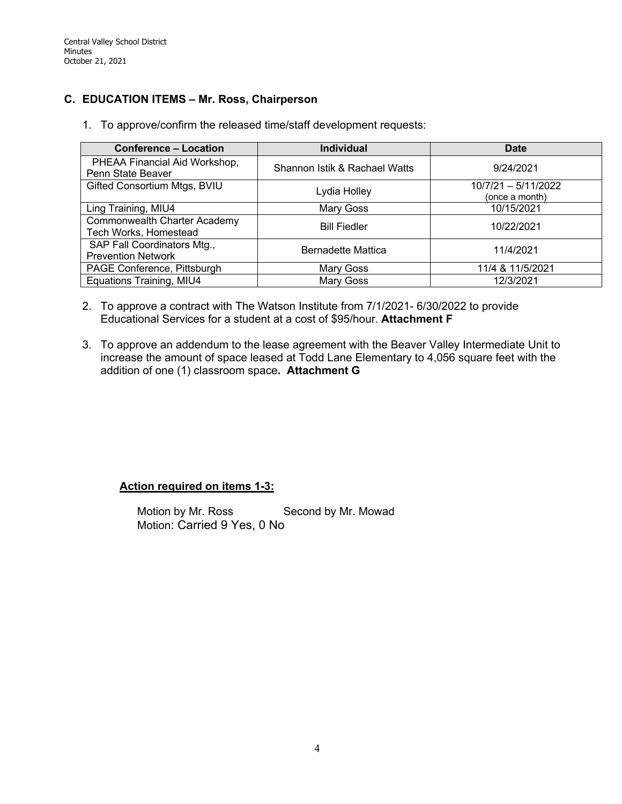# **C. EDUCATION ITEMS – Mr. Ross, Chairperson**

1. To approve/confirm the released time/staff development requests:

| <b>Conference - Location</b>                             | <b>Individual</b>             | <b>Date</b>                           |
|----------------------------------------------------------|-------------------------------|---------------------------------------|
| PHEAA Financial Aid Workshop,<br>Penn State Beaver       | Shannon Istik & Rachael Watts | 9/24/2021                             |
| Gifted Consortium Mtgs, BVIU                             | Lydia Holley                  | 10/7/21 - 5/11/2022<br>(once a month) |
| Ling Training, MIU4                                      | Mary Goss                     | 10/15/2021                            |
| Commonwealth Charter Academy<br>Tech Works, Homestead    | <b>Bill Fiedler</b>           | 10/22/2021                            |
| SAP Fall Coordinators Mtg.,<br><b>Prevention Network</b> | <b>Bernadette Mattica</b>     | 11/4/2021                             |
| PAGE Conference, Pittsburgh                              | Mary Goss                     | 11/4 & 11/5/2021                      |
| Equations Training, MIU4                                 | Mary Goss                     | 12/3/2021                             |

- 2. To approve a contract with The Watson Institute from 7/1/2021- 6/30/2022 to provide Educational Services for a student at a cost of \$95/hour. **Attachment F**
- 3. To approve an addendum to the lease agreement with the Beaver Valley Intermediate Unit to increase the amount of space leased at Todd Lane Elementary to 4,056 square feet with the addition of one (1) classroom space**. Attachment G**

**Action required on items 1-3:**

Motion by Mr. Ross Second by Mr. Mowad Motion: Carried 9 Yes, 0 No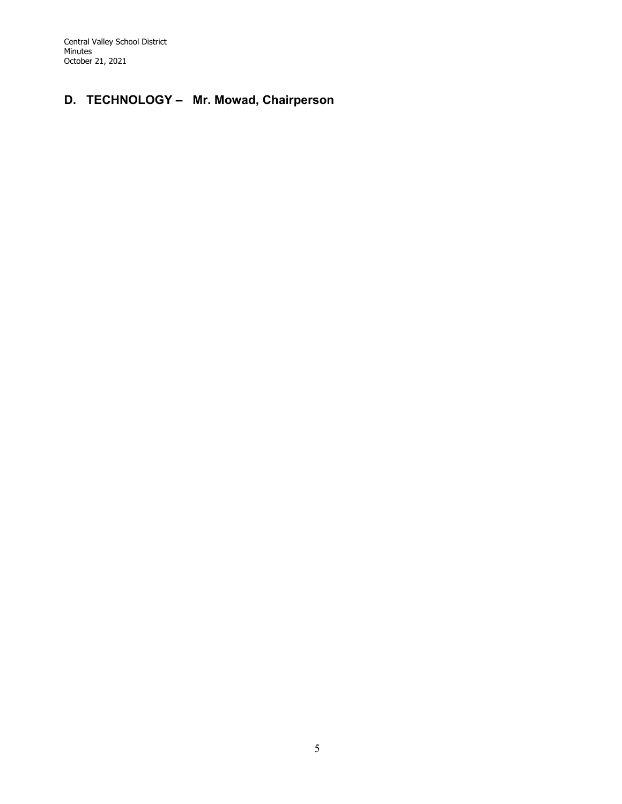Central Valley School District Minutes October 21, 2021

# **D. TECHNOLOGY – Mr. Mowad, Chairperson**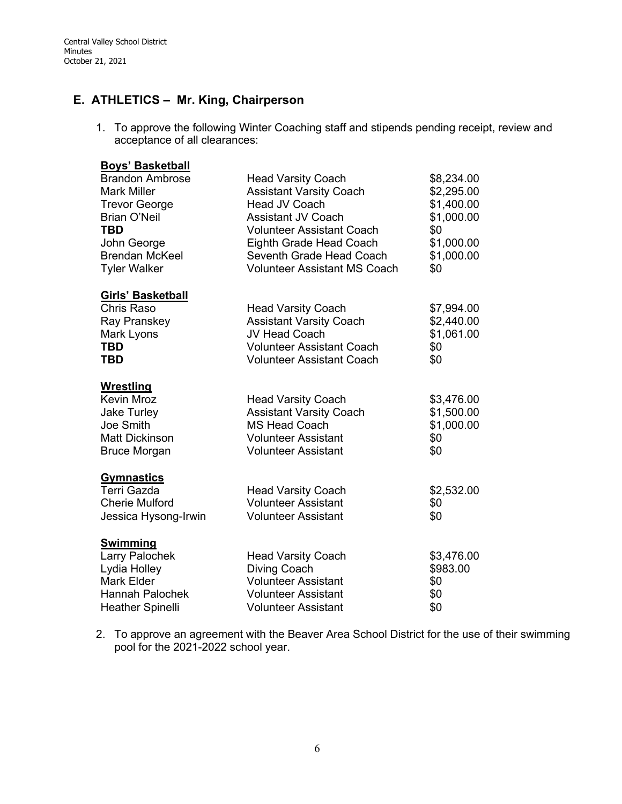# **E. ATHLETICS – Mr. King, Chairperson**

1. To approve the following Winter Coaching staff and stipends pending receipt, review and acceptance of all clearances:

| <b>Boys' Basketball</b>                           |                                     |            |
|---------------------------------------------------|-------------------------------------|------------|
| <b>Brandon Ambrose</b>                            | <b>Head Varsity Coach</b>           | \$8,234.00 |
| <b>Mark Miller</b>                                | <b>Assistant Varsity Coach</b>      | \$2,295.00 |
| <b>Trevor George</b>                              | Head JV Coach                       |            |
| <b>Brian O'Neil</b>                               | <b>Assistant JV Coach</b>           | \$1,000.00 |
| TBD                                               | <b>Volunteer Assistant Coach</b>    | \$0        |
| John George                                       | Eighth Grade Head Coach             | \$1,000.00 |
| <b>Brendan McKeel</b>                             | Seventh Grade Head Coach            | \$1,000.00 |
| <b>Tyler Walker</b>                               | <b>Volunteer Assistant MS Coach</b> |            |
| <b>Girls' Basketball</b>                          |                                     |            |
| Chris Raso                                        | <b>Head Varsity Coach</b>           | \$7,994.00 |
| Ray Pranskey                                      | <b>Assistant Varsity Coach</b>      | \$2,440.00 |
| Mark Lyons                                        | <b>JV Head Coach</b>                | \$1,061.00 |
| <b>TBD</b>                                        | <b>Volunteer Assistant Coach</b>    | \$0        |
| <b>TBD</b>                                        | <b>Volunteer Assistant Coach</b>    | \$0        |
| <b>Wrestling</b>                                  |                                     |            |
| <b>Kevin Mroz</b>                                 | <b>Head Varsity Coach</b>           | \$3,476.00 |
| <b>Jake Turley</b>                                | <b>Assistant Varsity Coach</b>      | \$1,500.00 |
| Joe Smith                                         | <b>MS Head Coach</b>                | \$1,000.00 |
| <b>Matt Dickinson</b>                             | <b>Volunteer Assistant</b>          | \$0        |
| <b>Bruce Morgan</b><br><b>Volunteer Assistant</b> |                                     | \$0        |
| <b>Gymnastics</b>                                 |                                     |            |
| Terri Gazda                                       | <b>Head Varsity Coach</b>           | \$2,532.00 |
| <b>Cherie Mulford</b>                             | <b>Volunteer Assistant</b>          | \$0        |
| Jessica Hysong-Irwin                              | <b>Volunteer Assistant</b>          | \$0        |
| <b>Swimming</b>                                   |                                     |            |
| Larry Palochek                                    | <b>Head Varsity Coach</b>           | \$3,476.00 |
| Lydia Holley                                      | <b>Diving Coach</b>                 | \$983.00   |
| Mark Elder                                        | <b>Volunteer Assistant</b>          | \$0        |
| <b>Hannah Palochek</b>                            | <b>Volunteer Assistant</b>          | \$0        |
| <b>Heather Spinelli</b>                           | <b>Volunteer Assistant</b>          | \$0        |

2. To approve an agreement with the Beaver Area School District for the use of their swimming pool for the 2021-2022 school year.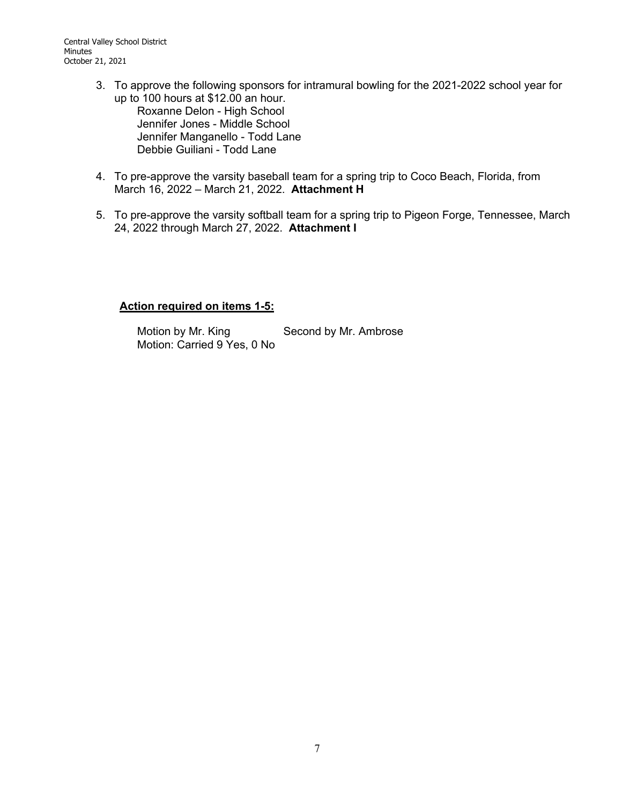- 3. To approve the following sponsors for intramural bowling for the 2021-2022 school year for up to 100 hours at \$12.00 an hour. Roxanne Delon - High School Jennifer Jones - Middle School Jennifer Manganello - Todd Lane Debbie Guiliani - Todd Lane
- 4. To pre-approve the varsity baseball team for a spring trip to Coco Beach, Florida, from March 16, 2022 – March 21, 2022. **Attachment H**
- 5. To pre-approve the varsity softball team for a spring trip to Pigeon Forge, Tennessee, March 24, 2022 through March 27, 2022. **Attachment I**

## **Action required on items 1-5:**

Motion by Mr. King Second by Mr. Ambrose Motion: Carried 9 Yes, 0 No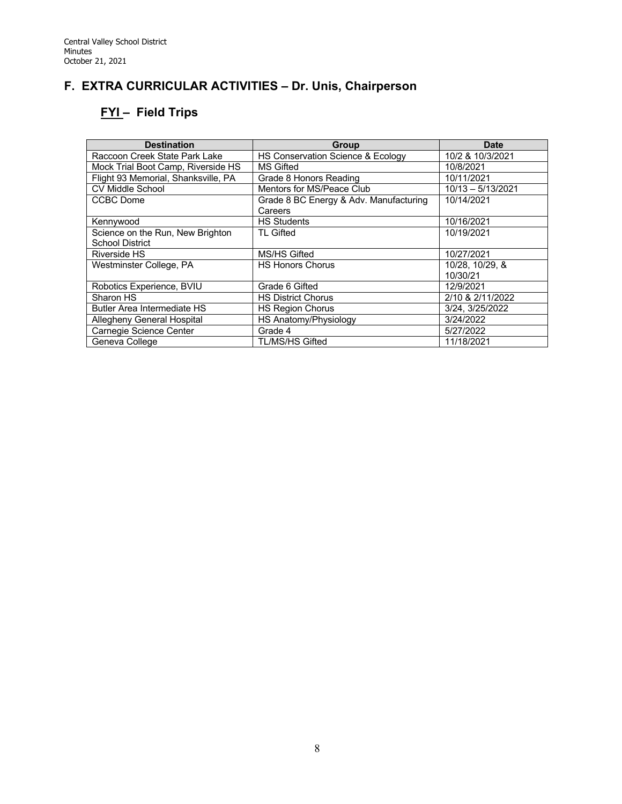# **F. EXTRA CURRICULAR ACTIVITIES – Dr. Unis, Chairperson**

# **FYI – Field Trips**

| <b>Destination</b>                  | Group                                  | <b>Date</b>         |
|-------------------------------------|----------------------------------------|---------------------|
| Raccoon Creek State Park Lake       | HS Conservation Science & Ecology      | 10/2 & 10/3/2021    |
| Mock Trial Boot Camp, Riverside HS  | MS Gifted                              | 10/8/2021           |
| Flight 93 Memorial, Shanksville, PA | Grade 8 Honors Reading                 | 10/11/2021          |
| <b>CV Middle School</b>             | Mentors for MS/Peace Club              | $10/13 - 5/13/2021$ |
| <b>CCBC</b> Dome                    | Grade 8 BC Energy & Adv. Manufacturing | 10/14/2021          |
|                                     | Careers                                |                     |
| Kennywood                           | <b>HS Students</b>                     | 10/16/2021          |
| Science on the Run, New Brighton    | TL Gifted                              | 10/19/2021          |
| <b>School District</b>              |                                        |                     |
| Riverside HS                        | MS/HS Gifted                           | 10/27/2021          |
| Westminster College, PA             | <b>HS Honors Chorus</b>                | 10/28, 10/29, &     |
|                                     |                                        | 10/30/21            |
| Robotics Experience, BVIU           | Grade 6 Gifted                         | 12/9/2021           |
| Sharon HS                           | <b>HS District Chorus</b>              | 2/10 & 2/11/2022    |
| <b>Butler Area Intermediate HS</b>  | <b>HS Region Chorus</b>                | 3/24, 3/25/2022     |
| Allegheny General Hospital          | HS Anatomy/Physiology                  | 3/24/2022           |
| Carnegie Science Center             | Grade 4                                | 5/27/2022           |
| Geneva College                      | <b>TL/MS/HS Gifted</b>                 | 11/18/2021          |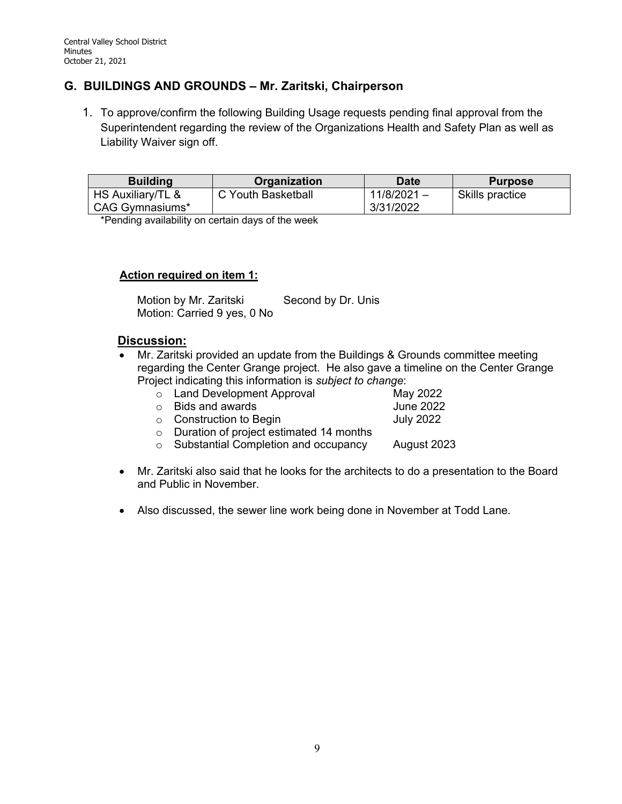# **G. BUILDINGS AND GROUNDS – Mr. Zaritski, Chairperson**

1. To approve/confirm the following Building Usage requests pending final approval from the Superintendent regarding the review of the Organizations Health and Safety Plan as well as Liability Waiver sign off.

| <b>Building</b>   | <b>Organization</b> | <b>Date</b>   | <b>Purpose</b>  |
|-------------------|---------------------|---------------|-----------------|
| HS Auxiliary/TL & | C Youth Basketball  | $11/8/2021 -$ | Skills practice |
| CAG Gymnasiums*   |                     | 3/31/2022     |                 |

\*Pending availability on certain days of the week

#### **Action required on item 1:**

Motion by Mr. Zaritski Second by Dr. Unis Motion: Carried 9 yes, 0 No

## **Discussion:**

- Mr. Zaritski provided an update from the Buildings & Grounds committee meeting regarding the Center Grange project. He also gave a timeline on the Center Grange Project indicating this information is *subject to change*:
	- o Land Development Approval May 2022<br>
	May 2022 b Dids and awards  $\circ$  Bids and awards

o Construction to Begin July 2022

- o Duration of project estimated 14 months
- o Substantial Completion and occupancy August 2023
- Mr. Zaritski also said that he looks for the architects to do a presentation to the Board and Public in November.
- Also discussed, the sewer line work being done in November at Todd Lane.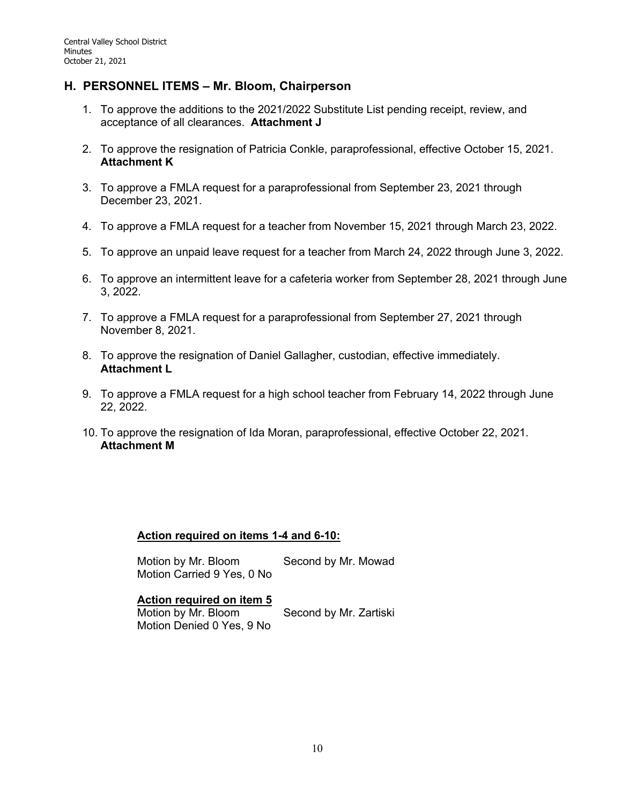# **H. PERSONNEL ITEMS – Mr. Bloom, Chairperson**

- 1. To approve the additions to the 2021/2022 Substitute List pending receipt, review, and acceptance of all clearances. **Attachment J**
- 2. To approve the resignation of Patricia Conkle, paraprofessional, effective October 15, 2021. **Attachment K**
- 3. To approve a FMLA request for a paraprofessional from September 23, 2021 through December 23, 2021.
- 4. To approve a FMLA request for a teacher from November 15, 2021 through March 23, 2022.
- 5. To approve an unpaid leave request for a teacher from March 24, 2022 through June 3, 2022.
- 6. To approve an intermittent leave for a cafeteria worker from September 28, 2021 through June 3, 2022.
- 7. To approve a FMLA request for a paraprofessional from September 27, 2021 through November 8, 2021.
- 8. To approve the resignation of Daniel Gallagher, custodian, effective immediately. **Attachment L**
- 9. To approve a FMLA request for a high school teacher from February 14, 2022 through June 22, 2022.
- 10. To approve the resignation of Ida Moran, paraprofessional, effective October 22, 2021. **Attachment M**

## **Action required on items 1-4 and 6-10:**

Motion by Mr. Bloom Second by Mr. Mowad Motion Carried 9 Yes, 0 No

#### **Action required on item 5**

Motion by Mr. Bloom Second by Mr. Zartiski Motion Denied 0 Yes, 9 No